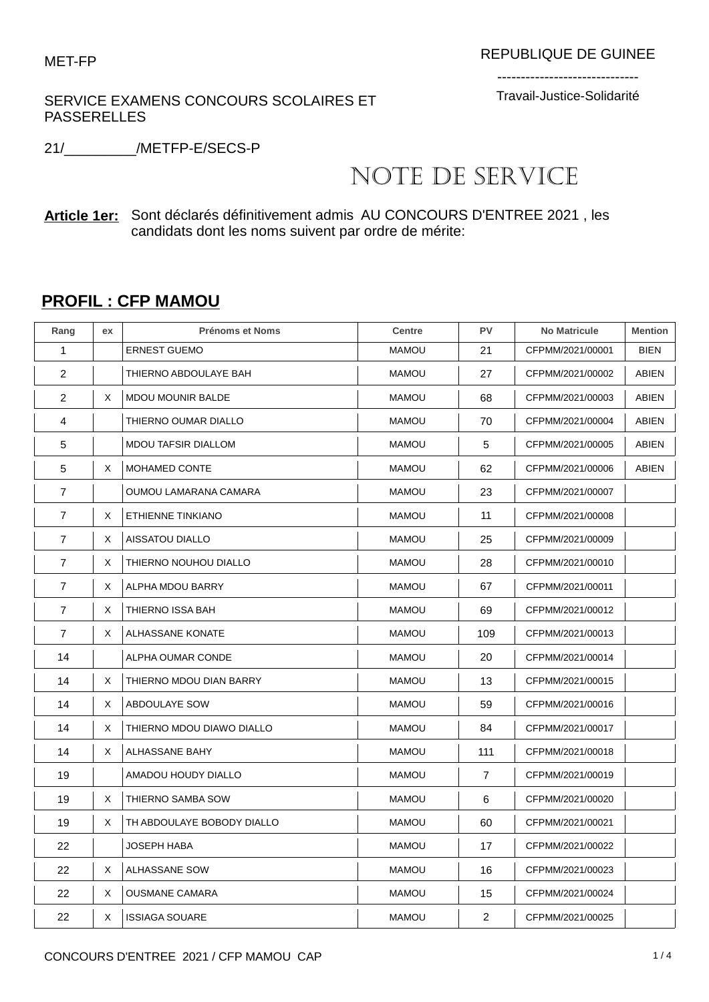## SERVICE EXAMENS CONCOURS SCOLAIRES ET PASSERELLES

------------------------------ Travail-Justice-Solidarité

21/\_\_\_\_\_\_\_\_\_/METFP-E/SECS-P

## NOTE DE SERVICE

## **Article 1er:** Sont déclarés définitivement admis AU CONCOURS D'ENTREE 2021 , les candidats dont les noms suivent par ordre de mérite:

## **PROFIL : CFP MAMOU**

| Rang           | ex | <b>Prénoms et Noms</b>     | Centre       | <b>PV</b>      | <b>No Matricule</b> | <b>Mention</b> |
|----------------|----|----------------------------|--------------|----------------|---------------------|----------------|
| 1              |    | <b>ERNEST GUEMO</b>        | <b>MAMOU</b> | 21             | CFPMM/2021/00001    | <b>BIEN</b>    |
| 2              |    | THIERNO ABDOULAYE BAH      | <b>MAMOU</b> | 27             | CFPMM/2021/00002    | <b>ABIEN</b>   |
| $\overline{c}$ | Χ  | <b>MDOU MOUNIR BALDE</b>   | <b>MAMOU</b> | 68             | CFPMM/2021/00003    | ABIEN          |
| 4              |    | THIERNO OUMAR DIALLO       | <b>MAMOU</b> | 70             | CFPMM/2021/00004    | <b>ABIEN</b>   |
| 5              |    | <b>MDOU TAFSIR DIALLOM</b> | <b>MAMOU</b> | 5              | CFPMM/2021/00005    | ABIEN          |
| 5              | X  | MOHAMED CONTE              | <b>MAMOU</b> | 62             | CFPMM/2021/00006    | <b>ABIEN</b>   |
| 7              |    | OUMOU LAMARANA CAMARA      | <b>MAMOU</b> | 23             | CFPMM/2021/00007    |                |
| $\overline{7}$ | Χ  | ETHIENNE TINKIANO          | <b>MAMOU</b> | 11             | CFPMM/2021/00008    |                |
| $\overline{7}$ | X  | AISSATOU DIALLO            | <b>MAMOU</b> | 25             | CFPMM/2021/00009    |                |
| $\overline{7}$ | Χ  | THIERNO NOUHOU DIALLO      | <b>MAMOU</b> | 28             | CFPMM/2021/00010    |                |
| 7              | X  | ALPHA MDOU BARRY           | <b>MAMOU</b> | 67             | CFPMM/2021/00011    |                |
| 7              | Χ  | THIERNO ISSA BAH           | <b>MAMOU</b> | 69             | CFPMM/2021/00012    |                |
| $\overline{7}$ | X  | ALHASSANE KONATE           | <b>MAMOU</b> | 109            | CFPMM/2021/00013    |                |
| 14             |    | ALPHA OUMAR CONDE          | <b>MAMOU</b> | 20             | CFPMM/2021/00014    |                |
| 14             | X  | THIERNO MDOU DIAN BARRY    | <b>MAMOU</b> | 13             | CFPMM/2021/00015    |                |
| 14             | Χ  | ABDOULAYE SOW              | <b>MAMOU</b> | 59             | CFPMM/2021/00016    |                |
| 14             | X  | THIERNO MDOU DIAWO DIALLO  | <b>MAMOU</b> | 84             | CFPMM/2021/00017    |                |
| 14             | X  | ALHASSANE BAHY             | <b>MAMOU</b> | 111            | CFPMM/2021/00018    |                |
| 19             |    | AMADOU HOUDY DIALLO        | <b>MAMOU</b> | $\overline{7}$ | CFPMM/2021/00019    |                |
| 19             | Χ  | THIERNO SAMBA SOW          | <b>MAMOU</b> | 6              | CFPMM/2021/00020    |                |
| 19             | Χ  | TH ABDOULAYE BOBODY DIALLO | <b>MAMOU</b> | 60             | CFPMM/2021/00021    |                |
| 22             |    | <b>JOSEPH HABA</b>         | <b>MAMOU</b> | 17             | CFPMM/2021/00022    |                |
| 22             | Χ  | ALHASSANE SOW              | <b>MAMOU</b> | 16             | CFPMM/2021/00023    |                |
| 22             | X  | <b>OUSMANE CAMARA</b>      | <b>MAMOU</b> | 15             | CFPMM/2021/00024    |                |
| 22             | Χ  | <b>ISSIAGA SOUARE</b>      | <b>MAMOU</b> | $\overline{2}$ | CFPMM/2021/00025    |                |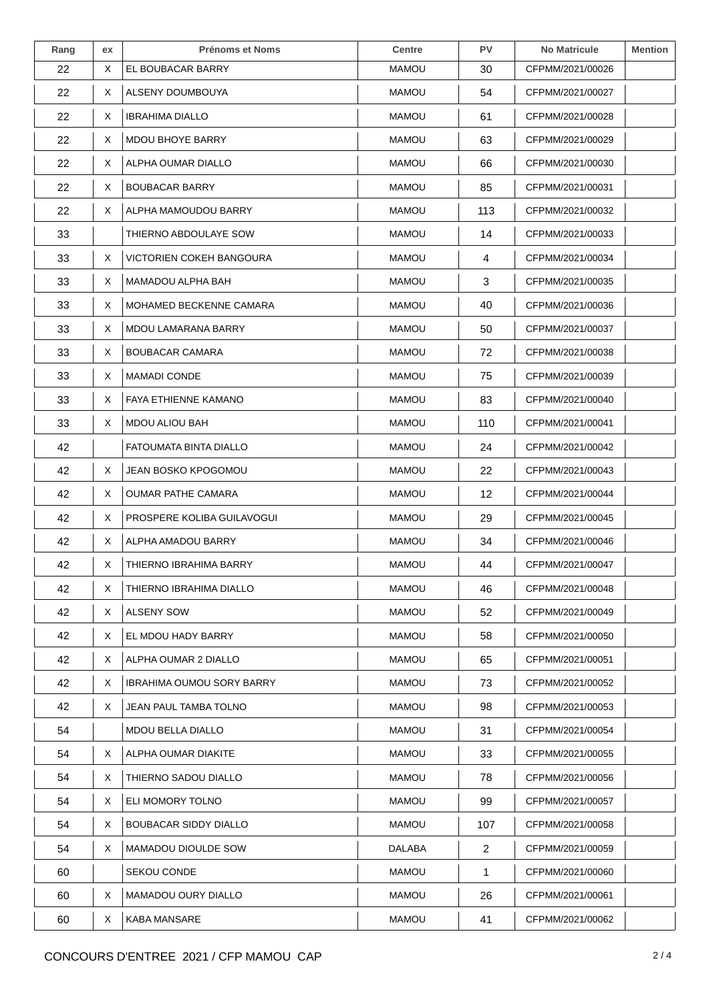| Rang | ex | <b>Prénoms et Noms</b>           | <b>Centre</b> | <b>PV</b>      | <b>No Matricule</b> | <b>Mention</b> |
|------|----|----------------------------------|---------------|----------------|---------------------|----------------|
| 22   | X  | EL BOUBACAR BARRY                | <b>MAMOU</b>  | 30             | CFPMM/2021/00026    |                |
| 22   | Х  | ALSENY DOUMBOUYA                 | MAMOU         | 54             | CFPMM/2021/00027    |                |
| 22   | X  | <b>IBRAHIMA DIALLO</b>           | <b>MAMOU</b>  | 61             | CFPMM/2021/00028    |                |
| 22   | X  | <b>MDOU BHOYE BARRY</b>          | <b>MAMOU</b>  | 63             | CFPMM/2021/00029    |                |
| 22   | X  | ALPHA OUMAR DIALLO               | <b>MAMOU</b>  | 66             | CFPMM/2021/00030    |                |
| 22   | X  | <b>BOUBACAR BARRY</b>            | <b>MAMOU</b>  | 85             | CFPMM/2021/00031    |                |
| 22   | X  | ALPHA MAMOUDOU BARRY             | <b>MAMOU</b>  | 113            | CFPMM/2021/00032    |                |
| 33   |    | THIERNO ABDOULAYE SOW            | <b>MAMOU</b>  | 14             | CFPMM/2021/00033    |                |
| 33   | X  | <b>VICTORIEN COKEH BANGOURA</b>  | MAMOU         | 4              | CFPMM/2021/00034    |                |
| 33   | Х  | MAMADOU ALPHA BAH                | <b>MAMOU</b>  | 3              | CFPMM/2021/00035    |                |
| 33   | X  | MOHAMED BECKENNE CAMARA          | <b>MAMOU</b>  | 40             | CFPMM/2021/00036    |                |
| 33   | X  | <b>MDOU LAMARANA BARRY</b>       | <b>MAMOU</b>  | 50             | CFPMM/2021/00037    |                |
| 33   | X  | <b>BOUBACAR CAMARA</b>           | <b>MAMOU</b>  | 72             | CFPMM/2021/00038    |                |
| 33   | X  | <b>MAMADI CONDE</b>              | <b>MAMOU</b>  | 75             | CFPMM/2021/00039    |                |
| 33   | X  | FAYA ETHIENNE KAMANO             | <b>MAMOU</b>  | 83             | CFPMM/2021/00040    |                |
| 33   | X  | <b>MDOU ALIOU BAH</b>            | <b>MAMOU</b>  | 110            | CFPMM/2021/00041    |                |
| 42   |    | FATOUMATA BINTA DIALLO           | <b>MAMOU</b>  | 24             | CFPMM/2021/00042    |                |
| 42   | X  | JEAN BOSKO KPOGOMOU              | MAMOU         | 22             | CFPMM/2021/00043    |                |
| 42   | Χ  | <b>OUMAR PATHE CAMARA</b>        | <b>MAMOU</b>  | 12             | CFPMM/2021/00044    |                |
| 42   | X  | PROSPERE KOLIBA GUILAVOGUI       | <b>MAMOU</b>  | 29             | CFPMM/2021/00045    |                |
| 42   | X  | ALPHA AMADOU BARRY               | <b>MAMOU</b>  | 34             | CFPMM/2021/00046    |                |
| 42   | X  | THIERNO IBRAHIMA BARRY           | <b>MAMOU</b>  | 44             | CFPMM/2021/00047    |                |
| 42   | Χ  | THIERNO IBRAHIMA DIALLO          | <b>MAMOU</b>  | 46             | CFPMM/2021/00048    |                |
| 42   | X  | <b>ALSENY SOW</b>                | <b>MAMOU</b>  | 52             | CFPMM/2021/00049    |                |
| 42   | X  | EL MDOU HADY BARRY               | MAMOU         | 58             | CFPMM/2021/00050    |                |
| 42   | X  | ALPHA OUMAR 2 DIALLO             | <b>MAMOU</b>  | 65             | CFPMM/2021/00051    |                |
| 42   | X  | <b>IBRAHIMA OUMOU SORY BARRY</b> | <b>MAMOU</b>  | 73             | CFPMM/2021/00052    |                |
| 42   | X  | JEAN PAUL TAMBA TOLNO            | MAMOU         | 98             | CFPMM/2021/00053    |                |
| 54   |    | <b>MDOU BELLA DIALLO</b>         | <b>MAMOU</b>  | 31             | CFPMM/2021/00054    |                |
| 54   | X  | ALPHA OUMAR DIAKITE              | MAMOU         | 33             | CFPMM/2021/00055    |                |
| 54   | X  | THIERNO SADOU DIALLO             | MAMOU         | 78             | CFPMM/2021/00056    |                |
| 54   | X  | ELI MOMORY TOLNO                 | <b>MAMOU</b>  | 99             | CFPMM/2021/00057    |                |
| 54   | X  | <b>BOUBACAR SIDDY DIALLO</b>     | <b>MAMOU</b>  | 107            | CFPMM/2021/00058    |                |
| 54   | X  | MAMADOU DIOULDE SOW              | DALABA        | $\overline{2}$ | CFPMM/2021/00059    |                |
| 60   |    | SEKOU CONDE                      | <b>MAMOU</b>  | 1              | CFPMM/2021/00060    |                |
| 60   | X  | <b>MAMADOU OURY DIALLO</b>       | <b>MAMOU</b>  | 26             | CFPMM/2021/00061    |                |
| 60   | X  | KABA MANSARE                     | <b>MAMOU</b>  | 41             | CFPMM/2021/00062    |                |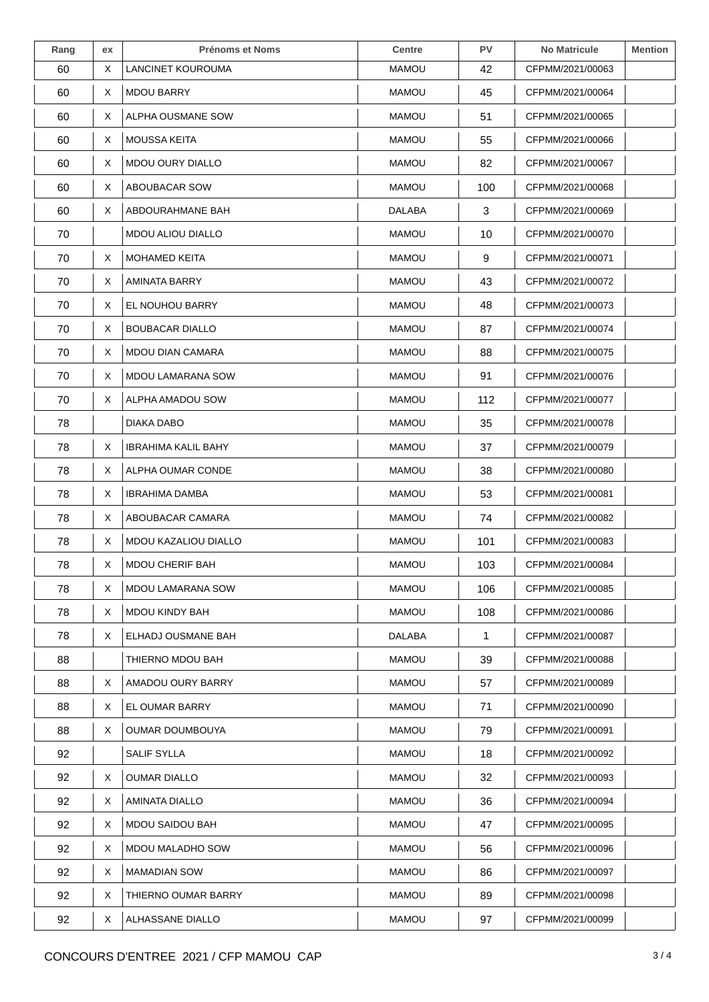| Rang | ex | <b>Prénoms et Noms</b>      | <b>Centre</b> | <b>PV</b> | <b>No Matricule</b> | <b>Mention</b> |
|------|----|-----------------------------|---------------|-----------|---------------------|----------------|
| 60   | X  | LANCINET KOUROUMA           | <b>MAMOU</b>  | 42        | CFPMM/2021/00063    |                |
| 60   | Х  | <b>MDOU BARRY</b>           | <b>MAMOU</b>  | 45        | CFPMM/2021/00064    |                |
| 60   | X  | ALPHA OUSMANE SOW           | <b>MAMOU</b>  | 51        | CFPMM/2021/00065    |                |
| 60   | X  | <b>MOUSSA KEITA</b>         | <b>MAMOU</b>  | 55        | CFPMM/2021/00066    |                |
| 60   | Х  | <b>MDOU OURY DIALLO</b>     | <b>MAMOU</b>  | 82        | CFPMM/2021/00067    |                |
| 60   | X  | <b>ABOUBACAR SOW</b>        | <b>MAMOU</b>  | 100       | CFPMM/2021/00068    |                |
| 60   | X  | ABDOURAHMANE BAH            | <b>DALABA</b> | 3         | CFPMM/2021/00069    |                |
| 70   |    | <b>MDOU ALIOU DIALLO</b>    | <b>MAMOU</b>  | 10        | CFPMM/2021/00070    |                |
| 70   | Χ  | <b>MOHAMED KEITA</b>        | <b>MAMOU</b>  | 9         | CFPMM/2021/00071    |                |
| 70   | X  | AMINATA BARRY               | <b>MAMOU</b>  | 43        | CFPMM/2021/00072    |                |
| 70   | X  | EL NOUHOU BARRY             | <b>MAMOU</b>  | 48        | CFPMM/2021/00073    |                |
| 70   | X  | <b>BOUBACAR DIALLO</b>      | MAMOU         | 87        | CFPMM/2021/00074    |                |
| 70   | X  | <b>MDOU DIAN CAMARA</b>     | <b>MAMOU</b>  | 88        | CFPMM/2021/00075    |                |
| 70   | X  | <b>MDOU LAMARANA SOW</b>    | <b>MAMOU</b>  | 91        | CFPMM/2021/00076    |                |
| 70   | X  | ALPHA AMADOU SOW            | <b>MAMOU</b>  | 112       | CFPMM/2021/00077    |                |
| 78   |    | DIAKA DABO                  | <b>MAMOU</b>  | 35        | CFPMM/2021/00078    |                |
| 78   | X  | IBRAHIMA KALIL BAHY         | <b>MAMOU</b>  | 37        | CFPMM/2021/00079    |                |
| 78   | X  | ALPHA OUMAR CONDE           | MAMOU         | 38        | CFPMM/2021/00080    |                |
| 78   | X  | <b>IBRAHIMA DAMBA</b>       | <b>MAMOU</b>  | 53        | CFPMM/2021/00081    |                |
| 78   | X  | ABOUBACAR CAMARA            | <b>MAMOU</b>  | 74        | CFPMM/2021/00082    |                |
| 78   | X  | <b>MDOU KAZALIOU DIALLO</b> | <b>MAMOU</b>  | 101       | CFPMM/2021/00083    |                |
| 78   | X  | <b>MDOU CHERIF BAH</b>      | <b>MAMOU</b>  | 103       | CFPMM/2021/00084    |                |
| 78   | Х  | <b>MDOU LAMARANA SOW</b>    | <b>MAMOU</b>  | 106       | CFPMM/2021/00085    |                |
| 78   | X  | MDOU KINDY BAH              | <b>MAMOU</b>  | 108       | CFPMM/2021/00086    |                |
| 78   | X  | ELHADJ OUSMANE BAH          | <b>DALABA</b> | 1         | CFPMM/2021/00087    |                |
| 88   |    | THIERNO MDOU BAH            | <b>MAMOU</b>  | 39        | CFPMM/2021/00088    |                |
| 88   | X  | AMADOU OURY BARRY           | <b>MAMOU</b>  | 57        | CFPMM/2021/00089    |                |
| 88   | X  | EL OUMAR BARRY              | MAMOU         | 71        | CFPMM/2021/00090    |                |
| 88   | Χ  | <b>OUMAR DOUMBOUYA</b>      | <b>MAMOU</b>  | 79        | CFPMM/2021/00091    |                |
| 92   |    | SALIF SYLLA                 | <b>MAMOU</b>  | 18        | CFPMM/2021/00092    |                |
| 92   | X  | <b>OUMAR DIALLO</b>         | MAMOU         | 32        | CFPMM/2021/00093    |                |
| 92   | X  | <b>AMINATA DIALLO</b>       | <b>MAMOU</b>  | 36        | CFPMM/2021/00094    |                |
| 92   | X  | MDOU SAIDOU BAH             | <b>MAMOU</b>  | 47        | CFPMM/2021/00095    |                |
| 92   | X  | MDOU MALADHO SOW            | MAMOU         | 56        | CFPMM/2021/00096    |                |
| 92   | X  | <b>MAMADIAN SOW</b>         | <b>MAMOU</b>  | 86        | CFPMM/2021/00097    |                |
| 92   | X  | THIERNO OUMAR BARRY         | <b>MAMOU</b>  | 89        | CFPMM/2021/00098    |                |
| 92   | X  | ALHASSANE DIALLO            | <b>MAMOU</b>  | 97        | CFPMM/2021/00099    |                |